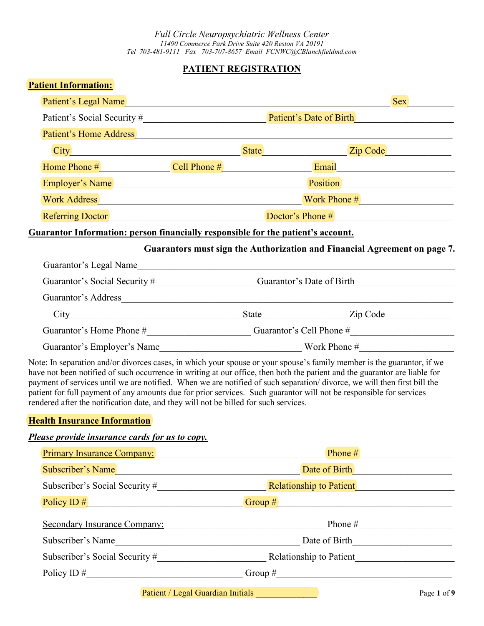*Full Circle Neuropsychiatric Wellness Center 11490 Commerce Park Drive Suite 420 Reston VA 20191 Tel 703-481-9111 Fax 703-707-8657 Email FCNWC@CBlanchfieldmd.com*

# **PATIENT REGISTRATION**

| <b>Patient Information:</b>                                                          |                                                                                                                                                                                                                                                                                                                                                                                                                                                                                                        |  |  |
|--------------------------------------------------------------------------------------|--------------------------------------------------------------------------------------------------------------------------------------------------------------------------------------------------------------------------------------------------------------------------------------------------------------------------------------------------------------------------------------------------------------------------------------------------------------------------------------------------------|--|--|
| Patient's Legal Name                                                                 | <b>Sex</b>                                                                                                                                                                                                                                                                                                                                                                                                                                                                                             |  |  |
|                                                                                      |                                                                                                                                                                                                                                                                                                                                                                                                                                                                                                        |  |  |
|                                                                                      | Patient's Home Address <b>Executive Address</b>                                                                                                                                                                                                                                                                                                                                                                                                                                                        |  |  |
|                                                                                      | City City City Code                                                                                                                                                                                                                                                                                                                                                                                                                                                                                    |  |  |
|                                                                                      | Home Phone # Cell Phone # Cell Phone # Email                                                                                                                                                                                                                                                                                                                                                                                                                                                           |  |  |
| Employer's Name                                                                      | Position Position                                                                                                                                                                                                                                                                                                                                                                                                                                                                                      |  |  |
|                                                                                      |                                                                                                                                                                                                                                                                                                                                                                                                                                                                                                        |  |  |
|                                                                                      | Referring Doctor Doctor <b>Doctor's Phone #</b>                                                                                                                                                                                                                                                                                                                                                                                                                                                        |  |  |
| Guarantor Information: person financially responsible for the patient's account.     |                                                                                                                                                                                                                                                                                                                                                                                                                                                                                                        |  |  |
|                                                                                      | Guarantors must sign the Authorization and Financial Agreement on page 7.                                                                                                                                                                                                                                                                                                                                                                                                                              |  |  |
|                                                                                      | Guarantor's Legal Name                                                                                                                                                                                                                                                                                                                                                                                                                                                                                 |  |  |
|                                                                                      | Guarantor's Social Security #__________________________Guarantor's Date of Birth______________________________                                                                                                                                                                                                                                                                                                                                                                                         |  |  |
|                                                                                      |                                                                                                                                                                                                                                                                                                                                                                                                                                                                                                        |  |  |
|                                                                                      |                                                                                                                                                                                                                                                                                                                                                                                                                                                                                                        |  |  |
|                                                                                      |                                                                                                                                                                                                                                                                                                                                                                                                                                                                                                        |  |  |
|                                                                                      |                                                                                                                                                                                                                                                                                                                                                                                                                                                                                                        |  |  |
| rendered after the notification date, and they will not be billed for such services. | Note: In separation and/or divorces cases, in which your spouse or your spouse's family member is the guarantor, if we<br>have not been notified of such occurrence in writing at our office, then both the patient and the guarantor are liable for<br>payment of services until we are notified. When we are notified of such separation/divorce, we will then first bill the<br>patient for full payment of any amounts due for prior services. Such guarantor will not be responsible for services |  |  |
| <b>Health Insurance Information</b>                                                  |                                                                                                                                                                                                                                                                                                                                                                                                                                                                                                        |  |  |
| Please provide insurance cards for us to copy.                                       |                                                                                                                                                                                                                                                                                                                                                                                                                                                                                                        |  |  |
| Primary Insurance Company:                                                           | Phone #                                                                                                                                                                                                                                                                                                                                                                                                                                                                                                |  |  |
| Subscriber's Name                                                                    | Date of Birth                                                                                                                                                                                                                                                                                                                                                                                                                                                                                          |  |  |
|                                                                                      | Relationship to Patient                                                                                                                                                                                                                                                                                                                                                                                                                                                                                |  |  |
| Policy ID $#$                                                                        | $\boxed{\text{Group H}}$                                                                                                                                                                                                                                                                                                                                                                                                                                                                               |  |  |
|                                                                                      | Secondary Insurance Company: Phone #                                                                                                                                                                                                                                                                                                                                                                                                                                                                   |  |  |
| Subscriber's Name                                                                    | Date of Birth                                                                                                                                                                                                                                                                                                                                                                                                                                                                                          |  |  |

Subscriber's Social Security #  $\qquad \qquad$  Relationship to Patient

Policy ID  $\#$  Group  $\#$  Group  $\#$  Group  $\#$ 

Patient / Legal Guardian Initials \_\_\_\_\_\_\_\_\_\_\_\_\_\_ Page **1** of **9**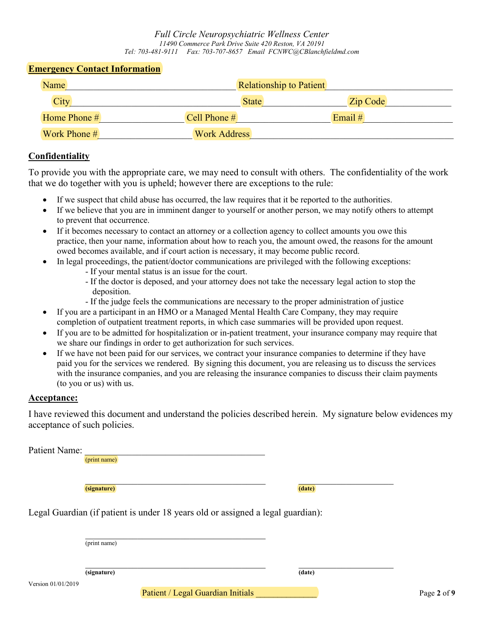#### **Emergency Contact Information**

| Name         | <b>Relationship to Patient</b> |                 |  |
|--------------|--------------------------------|-----------------|--|
| <b>City</b>  | <b>State</b>                   | <b>Zip Code</b> |  |
| Home Phone # | Cell Phone #                   | Email $#$       |  |
| Work Phone # | <b>Work Address</b>            |                 |  |

#### **Confidentiality**

To provide you with the appropriate care, we may need to consult with others. The confidentiality of the work that we do together with you is upheld; however there are exceptions to the rule:

- If we suspect that child abuse has occurred, the law requires that it be reported to the authorities.
- If we believe that you are in imminent danger to yourself or another person, we may notify others to attempt to prevent that occurrence.
- If it becomes necessary to contact an attorney or a collection agency to collect amounts you owe this practice, then your name, information about how to reach you, the amount owed, the reasons for the amount owed becomes available, and if court action is necessary, it may become public record.
- In legal proceedings, the patient/doctor communications are privileged with the following exceptions:
	- If your mental status is an issue for the court.
	- If the doctor is deposed, and your attorney does not take the necessary legal action to stop the deposition.
	- If the judge feels the communications are necessary to the proper administration of justice
- If you are a participant in an HMO or a Managed Mental Health Care Company, they may require completion of outpatient treatment reports, in which case summaries will be provided upon request.
- If you are to be admitted for hospitalization or in-patient treatment, your insurance company may require that we share our findings in order to get authorization for such services.
- If we have not been paid for our services, we contract your insurance companies to determine if they have paid you for the services we rendered. By signing this document, you are releasing us to discuss the services with the insurance companies, and you are releasing the insurance companies to discuss their claim payments (to you or us) with us.

## **Acceptance:**

I have reviewed this document and understand the policies described herein. My signature below evidences my acceptance of such policies.

| Patient Name:      | (print name)                                                                    |        |             |
|--------------------|---------------------------------------------------------------------------------|--------|-------------|
|                    | (signature)                                                                     | (date) |             |
|                    | Legal Guardian (if patient is under 18 years old or assigned a legal guardian): |        |             |
|                    | (print name)                                                                    |        |             |
| Version 01/01/2019 | (signature)                                                                     | (date) |             |
|                    | Patient / Legal Guardian Initials                                               |        | Page 2 of 9 |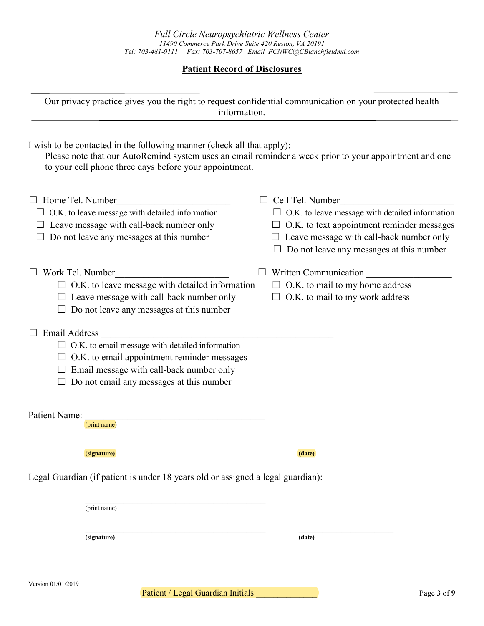# **Patient Record of Disclosures**

| Our privacy practice gives you the right to request confidential communication on your protected health<br>information.                                                                                                                    |                                                                                                                                                                                                                                |
|--------------------------------------------------------------------------------------------------------------------------------------------------------------------------------------------------------------------------------------------|--------------------------------------------------------------------------------------------------------------------------------------------------------------------------------------------------------------------------------|
| I wish to be contacted in the following manner (check all that apply):<br>Please note that our AutoRemind system uses an email reminder a week prior to your appointment and one<br>to your cell phone three days before your appointment. |                                                                                                                                                                                                                                |
| Home Tel. Number<br>O.K. to leave message with detailed information<br>Leave message with call-back number only<br>Do not leave any messages at this number                                                                                | Cell Tel. Number<br>$\Box$ O.K. to leave message with detailed information<br>$\Box$ O.K. to text appointment reminder messages<br>Leave message with call-back number only<br>$\Box$ Do not leave any messages at this number |
| Work Tel. Number<br>$\Box$ O.K. to leave message with detailed information<br>$\Box$ Leave message with call-back number only<br>$\Box$ Do not leave any messages at this number                                                           | Written Communication<br>$\Box$ O.K. to mail to my home address<br>O.K. to mail to my work address                                                                                                                             |
| <b>Email Address</b><br>$\Box$ O.K. to email message with detailed information<br>O.K. to email appointment reminder messages<br>Email message with call-back number only<br>Do not email any messages at this number                      |                                                                                                                                                                                                                                |
| Patient Name:<br>(print name)                                                                                                                                                                                                              |                                                                                                                                                                                                                                |
| (signature)                                                                                                                                                                                                                                | (date)                                                                                                                                                                                                                         |
| Legal Guardian (if patient is under 18 years old or assigned a legal guardian):                                                                                                                                                            |                                                                                                                                                                                                                                |
| (print name)                                                                                                                                                                                                                               |                                                                                                                                                                                                                                |
| (signature)                                                                                                                                                                                                                                | (date)                                                                                                                                                                                                                         |

Patient / Legal Guardian Initials **Patient / Legal Guardian Initials** Page 3 of 9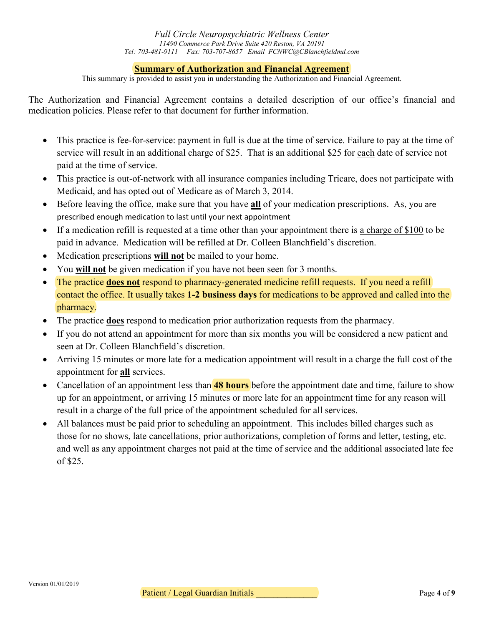# **Summary of Authorization and Financial Agreement**

This summary is provided to assist you in understanding the Authorization and Financial Agreement.

The Authorization and Financial Agreement contains a detailed description of our office's financial and medication policies. Please refer to that document for further information.

- This practice is fee-for-service: payment in full is due at the time of service. Failure to pay at the time of service will result in an additional charge of \$25. That is an additional \$25 for each date of service not paid at the time of service.
- This practice is out-of-network with all insurance companies including Tricare, does not participate with Medicaid, and has opted out of Medicare as of March 3, 2014.
- Before leaving the office, make sure that you have **all** of your medication prescriptions. As, you are prescribed enough medication to last until your next appointment
- If a medication refill is requested at a time other than your appointment there is a charge of \$100 to be paid in advance. Medication will be refilled at Dr. Colleen Blanchfield's discretion.
- Medication prescriptions **will not** be mailed to your home.
- You **will not** be given medication if you have not been seen for 3 months.
- The practice **does not** respond to pharmacy-generated medicine refill requests. If you need a refill contact the office. It usually takes **1-2 business days** for medications to be approved and called into the pharmacy.
- The practice **does** respond to medication prior authorization requests from the pharmacy.
- If you do not attend an appointment for more than six months you will be considered a new patient and seen at Dr. Colleen Blanchfield's discretion.
- Arriving 15 minutes or more late for a medication appointment will result in a charge the full cost of the appointment for **all** services.
- Cancellation of an appointment less than **48 hours** before the appointment date and time, failure to show up for an appointment, or arriving 15 minutes or more late for an appointment time for any reason will result in a charge of the full price of the appointment scheduled for all services.
- All balances must be paid prior to scheduling an appointment. This includes billed charges such as those for no shows, late cancellations, prior authorizations, completion of forms and letter, testing, etc. and well as any appointment charges not paid at the time of service and the additional associated late fee of \$25.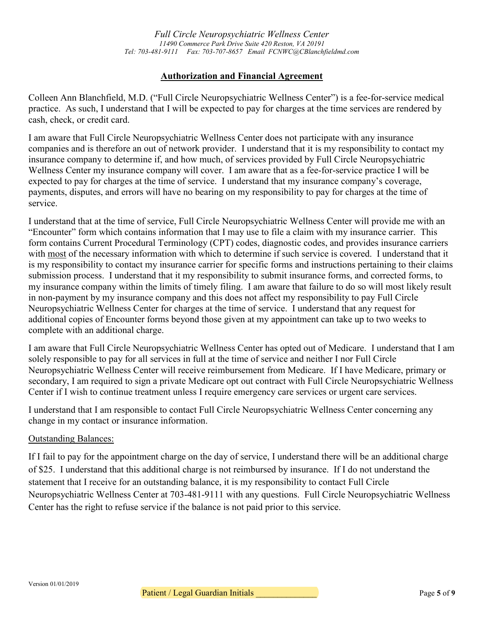*Full Circle Neuropsychiatric Wellness Center 11490 Commerce Park Drive Suite 420 Reston, VA 20191 Tel: 703-481-9111 Fax: 703-707-8657 Email FCNWC@CBlanchfieldmd.com*

## **Authorization and Financial Agreement**

Colleen Ann Blanchfield, M.D. ("Full Circle Neuropsychiatric Wellness Center") is a fee-for-service medical practice. As such, I understand that I will be expected to pay for charges at the time services are rendered by cash, check, or credit card.

I am aware that Full Circle Neuropsychiatric Wellness Center does not participate with any insurance companies and is therefore an out of network provider. I understand that it is my responsibility to contact my insurance company to determine if, and how much, of services provided by Full Circle Neuropsychiatric Wellness Center my insurance company will cover. I am aware that as a fee-for-service practice I will be expected to pay for charges at the time of service. I understand that my insurance company's coverage, payments, disputes, and errors will have no bearing on my responsibility to pay for charges at the time of service.

I understand that at the time of service, Full Circle Neuropsychiatric Wellness Center will provide me with an "Encounter" form which contains information that I may use to file a claim with my insurance carrier. This form contains Current Procedural Terminology (CPT) codes, diagnostic codes, and provides insurance carriers with most of the necessary information with which to determine if such service is covered. I understand that it is my responsibility to contact my insurance carrier for specific forms and instructions pertaining to their claims submission process. I understand that it my responsibility to submit insurance forms, and corrected forms, to my insurance company within the limits of timely filing. I am aware that failure to do so will most likely result in non-payment by my insurance company and this does not affect my responsibility to pay Full Circle Neuropsychiatric Wellness Center for charges at the time of service. I understand that any request for additional copies of Encounter forms beyond those given at my appointment can take up to two weeks to complete with an additional charge.

I am aware that Full Circle Neuropsychiatric Wellness Center has opted out of Medicare. I understand that I am solely responsible to pay for all services in full at the time of service and neither I nor Full Circle Neuropsychiatric Wellness Center will receive reimbursement from Medicare. If I have Medicare, primary or secondary, I am required to sign a private Medicare opt out contract with Full Circle Neuropsychiatric Wellness Center if I wish to continue treatment unless I require emergency care services or urgent care services.

I understand that I am responsible to contact Full Circle Neuropsychiatric Wellness Center concerning any change in my contact or insurance information.

## Outstanding Balances:

If I fail to pay for the appointment charge on the day of service, I understand there will be an additional charge of \$25. I understand that this additional charge is not reimbursed by insurance. If I do not understand the statement that I receive for an outstanding balance, it is my responsibility to contact Full Circle Neuropsychiatric Wellness Center at 703-481-9111 with any questions. Full Circle Neuropsychiatric Wellness Center has the right to refuse service if the balance is not paid prior to this service.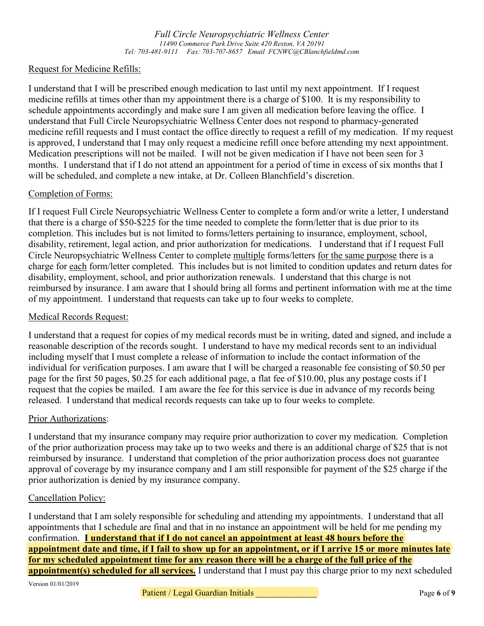*Full Circle Neuropsychiatric Wellness Center 11490 Commerce Park Drive Suite 420 Reston, VA 20191 Tel: 703-481-9111 Fax: 703-707-8657 Email FCNWC@CBlanchfieldmd.com*

#### Request for Medicine Refills:

I understand that I will be prescribed enough medication to last until my next appointment. If I request medicine refills at times other than my appointment there is a charge of \$100. It is my responsibility to schedule appointments accordingly and make sure I am given all medication before leaving the office. I understand that Full Circle Neuropsychiatric Wellness Center does not respond to pharmacy-generated medicine refill requests and I must contact the office directly to request a refill of my medication. If my request is approved, I understand that I may only request a medicine refill once before attending my next appointment. Medication prescriptions will not be mailed. I will not be given medication if I have not been seen for 3 months. I understand that if I do not attend an appointment for a period of time in excess of six months that I will be scheduled, and complete a new intake, at Dr. Colleen Blanchfield's discretion.

#### Completion of Forms:

If I request Full Circle Neuropsychiatric Wellness Center to complete a form and/or write a letter, I understand that there is a charge of \$50-\$225 for the time needed to complete the form/letter that is due prior to its completion. This includes but is not limited to forms/letters pertaining to insurance, employment, school, disability, retirement, legal action, and prior authorization for medications. I understand that if I request Full Circle Neuropsychiatric Wellness Center to complete multiple forms/letters for the same purpose there is a charge for each form/letter completed. This includes but is not limited to condition updates and return dates for disability, employment, school, and prior authorization renewals. I understand that this charge is not reimbursed by insurance. I am aware that I should bring all forms and pertinent information with me at the time of my appointment. I understand that requests can take up to four weeks to complete.

#### Medical Records Request:

I understand that a request for copies of my medical records must be in writing, dated and signed, and include a reasonable description of the records sought. I understand to have my medical records sent to an individual including myself that I must complete a release of information to include the contact information of the individual for verification purposes. I am aware that I will be charged a reasonable fee consisting of \$0.50 per page for the first 50 pages, \$0.25 for each additional page, a flat fee of \$10.00, plus any postage costs if I request that the copies be mailed. I am aware the fee for this service is due in advance of my records being released. I understand that medical records requests can take up to four weeks to complete.

#### Prior Authorizations:

I understand that my insurance company may require prior authorization to cover my medication. Completion of the prior authorization process may take up to two weeks and there is an additional charge of \$25 that is not reimbursed by insurance. I understand that completion of the prior authorization process does not guarantee approval of coverage by my insurance company and I am still responsible for payment of the \$25 charge if the prior authorization is denied by my insurance company.

#### Cancellation Policy:

I understand that I am solely responsible for scheduling and attending my appointments. I understand that all appointments that I schedule are final and that in no instance an appointment will be held for me pending my confirmation. **I understand that if I do not cancel an appointment at least 48 hours before the appointment date and time, if I fail to show up for an appointment, or if I arrive 15 or more minutes late for my scheduled appointment time for any reason there will be a charge of the full price of the appointment(s) scheduled for all services.** I understand that I must pay this charge prior to my next scheduled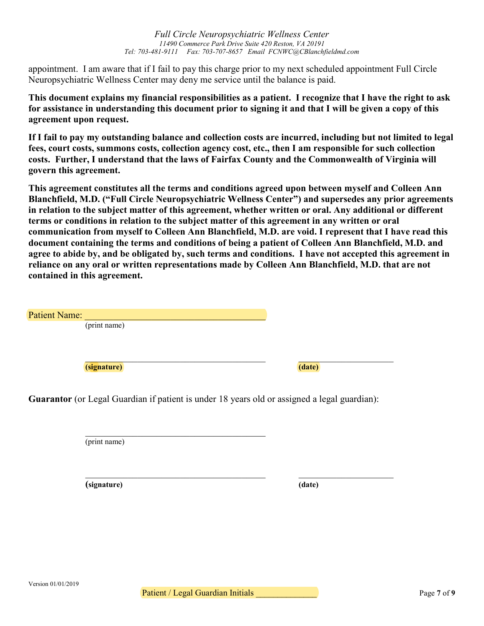*11490 Commerce Park Drive Suite 420 Reston, VA 20191 Tel: 703-481-9111 Fax: 703-707-8657 Email FCNWC@CBlanchfieldmd.com*

*Full Circle Neuropsychiatric Wellness Center*

appointment. I am aware that if I fail to pay this charge prior to my next scheduled appointment Full Circle Neuropsychiatric Wellness Center may deny me service until the balance is paid.

**This document explains my financial responsibilities as a patient. I recognize that I have the right to ask for assistance in understanding this document prior to signing it and that I will be given a copy of this agreement upon request.**

**If I fail to pay my outstanding balance and collection costs are incurred, including but not limited to legal fees, court costs, summons costs, collection agency cost, etc., then I am responsible for such collection costs. Further, I understand that the laws of Fairfax County and the Commonwealth of Virginia will govern this agreement.** 

**This agreement constitutes all the terms and conditions agreed upon between myself and Colleen Ann Blanchfield, M.D. ("Full Circle Neuropsychiatric Wellness Center") and supersedes any prior agreements in relation to the subject matter of this agreement, whether written or oral. Any additional or different terms or conditions in relation to the subject matter of this agreement in any written or oral communication from myself to Colleen Ann Blanchfield, M.D. are void. I represent that I have read this document containing the terms and conditions of being a patient of Colleen Ann Blanchfield, M.D. and agree to abide by, and be obligated by, such terms and conditions. I have not accepted this agreement in reliance on any oral or written representations made by Colleen Ann Blanchfield, M.D. that are not contained in this agreement.**

 $\_$  ,  $\_$  ,  $\_$  ,  $\_$  ,  $\_$  ,  $\_$  ,  $\_$  ,  $\_$  ,  $\_$  ,  $\_$  ,  $\_$  ,  $\_$  ,  $\_$  ,  $\_$  ,  $\_$  ,  $\_$  ,  $\_$  ,  $\_$  ,  $\_$  ,  $\_$ 

| Patient Name: |        |
|---------------|--------|
| (print name)  |        |
|               |        |
|               |        |
|               |        |
| (signature)   | (date) |
|               |        |

**Guarantor** (or Legal Guardian if patient is under 18 years old or assigned a legal guardian):

\_\_\_\_\_\_\_\_\_\_\_\_\_\_\_\_\_\_\_\_\_\_\_\_\_\_\_\_\_\_\_\_\_\_\_\_\_\_

(print name)

**(signature) (date)**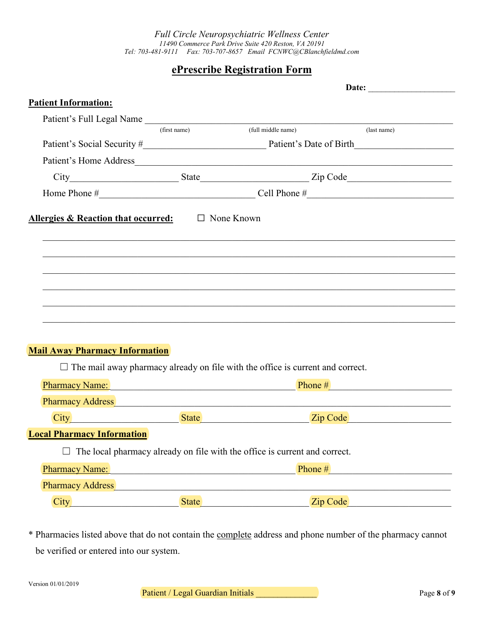*Full Circle Neuropsychiatric Wellness Center 11490 Commerce Park Drive Suite 420 Reston, VA 20191 Tel: 703-481-9111 Fax: 703-707-8657 Email FCNWC@CBlanchfieldmd.com*

# **ePrescribe Registration Form**

| <b>Patient Information:</b>                                                                                                                                                                                                    |              |                                                                                       |                                                                                                                                                                                                                                |  |
|--------------------------------------------------------------------------------------------------------------------------------------------------------------------------------------------------------------------------------|--------------|---------------------------------------------------------------------------------------|--------------------------------------------------------------------------------------------------------------------------------------------------------------------------------------------------------------------------------|--|
| Patient's Full Legal Name                                                                                                                                                                                                      |              |                                                                                       |                                                                                                                                                                                                                                |  |
|                                                                                                                                                                                                                                | (first name) | (full middle name)                                                                    | (last name)                                                                                                                                                                                                                    |  |
|                                                                                                                                                                                                                                |              |                                                                                       |                                                                                                                                                                                                                                |  |
|                                                                                                                                                                                                                                |              |                                                                                       |                                                                                                                                                                                                                                |  |
|                                                                                                                                                                                                                                |              |                                                                                       |                                                                                                                                                                                                                                |  |
|                                                                                                                                                                                                                                |              |                                                                                       |                                                                                                                                                                                                                                |  |
| Allergies & Reaction that occurred: $\Box$ None Known                                                                                                                                                                          |              |                                                                                       |                                                                                                                                                                                                                                |  |
|                                                                                                                                                                                                                                |              |                                                                                       |                                                                                                                                                                                                                                |  |
|                                                                                                                                                                                                                                |              |                                                                                       |                                                                                                                                                                                                                                |  |
|                                                                                                                                                                                                                                |              |                                                                                       |                                                                                                                                                                                                                                |  |
|                                                                                                                                                                                                                                |              |                                                                                       |                                                                                                                                                                                                                                |  |
|                                                                                                                                                                                                                                |              |                                                                                       |                                                                                                                                                                                                                                |  |
|                                                                                                                                                                                                                                |              |                                                                                       |                                                                                                                                                                                                                                |  |
| <b>Mail Away Pharmacy Information</b>                                                                                                                                                                                          |              |                                                                                       |                                                                                                                                                                                                                                |  |
|                                                                                                                                                                                                                                |              | $\Box$ The mail away pharmacy already on file with the office is current and correct. |                                                                                                                                                                                                                                |  |
|                                                                                                                                                                                                                                |              |                                                                                       |                                                                                                                                                                                                                                |  |
| Pharmacy Address and the contract of the contract of the contract of the contract of the contract of the contract of the contract of the contract of the contract of the contract of the contract of the contract of the contr |              |                                                                                       |                                                                                                                                                                                                                                |  |
|                                                                                                                                                                                                                                |              |                                                                                       | City City City Code City Contact City Code City Code City Code City Code City Code City Code City Code City Code City Code City Code City Code City Code City Code City Code City Code City Code City Code City Code City Code |  |
| <b>Local Pharmacy Information</b>                                                                                                                                                                                              |              |                                                                                       |                                                                                                                                                                                                                                |  |
|                                                                                                                                                                                                                                |              | The local pharmacy already on file with the office is current and correct.            |                                                                                                                                                                                                                                |  |
| Pharmacy Name: Name: Name: Name: Name: Name: Name: Name: Name: Name: Name: Name: Name: Name: Name: Name: Name: Name: Name: Name: Name: Name: Name: Name: Name: Name: Name: Name: Name: Name: Name: Name: Name: Name: Name: Nam |              |                                                                                       |                                                                                                                                                                                                                                |  |
| Pharmacy Address Manual Manual Communication and the contract of the contract of the contract of the contract of the contract of the contract of the contract of the contract of the contract of the contract of the contract  |              |                                                                                       |                                                                                                                                                                                                                                |  |
| City City City City Communication City City City Communication City Communication City Communication City Comm                                                                                                                 |              |                                                                                       |                                                                                                                                                                                                                                |  |
|                                                                                                                                                                                                                                |              |                                                                                       |                                                                                                                                                                                                                                |  |

\* Pharmacies listed above that do not contain the complete address and phone number of the pharmacy cannot be verified or entered into our system.

Patient / Legal Guardian Initials \_\_\_\_\_\_\_\_\_\_\_\_\_\_ Page **8** of **9**